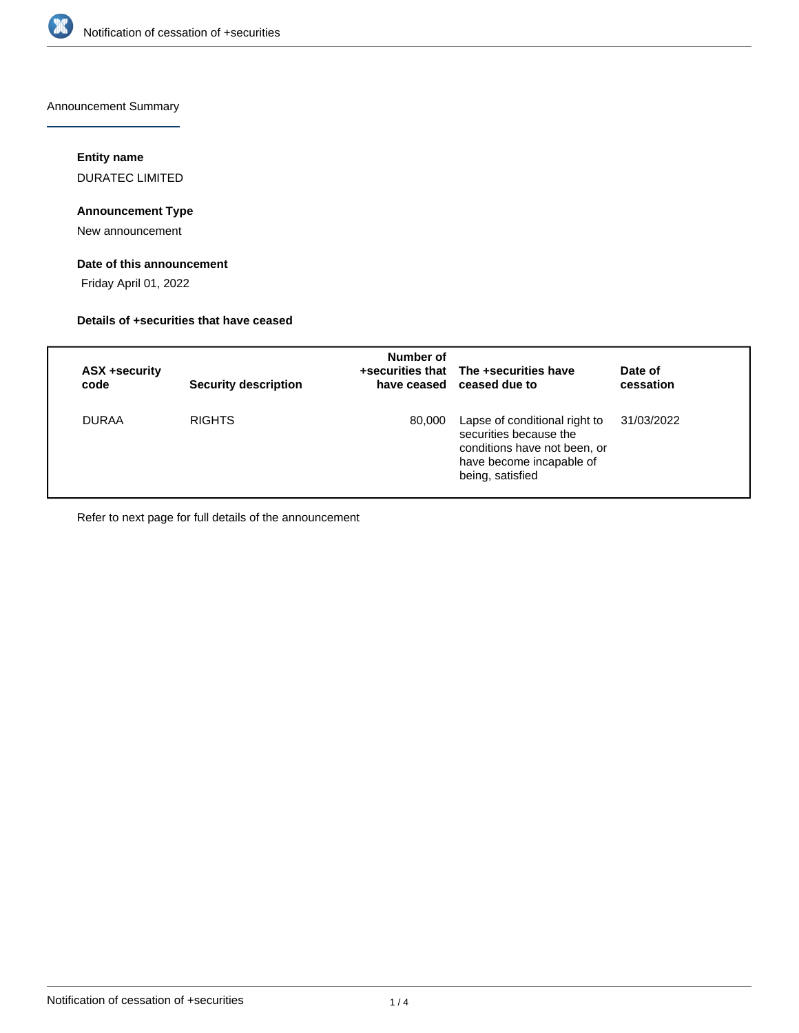

Announcement Summary

## **Entity name**

DURATEC LIMITED

# **Announcement Type**

New announcement

## **Date of this announcement**

Friday April 01, 2022

## **Details of +securities that have ceased**

| ASX +security<br>code | <b>Security description</b> | Number of | +securities that The +securities have<br>have ceased ceased due to                                                                      | Date of<br>cessation |
|-----------------------|-----------------------------|-----------|-----------------------------------------------------------------------------------------------------------------------------------------|----------------------|
| <b>DURAA</b>          | <b>RIGHTS</b>               | 80,000    | Lapse of conditional right to<br>securities because the<br>conditions have not been, or<br>have become incapable of<br>being, satisfied | 31/03/2022           |

Refer to next page for full details of the announcement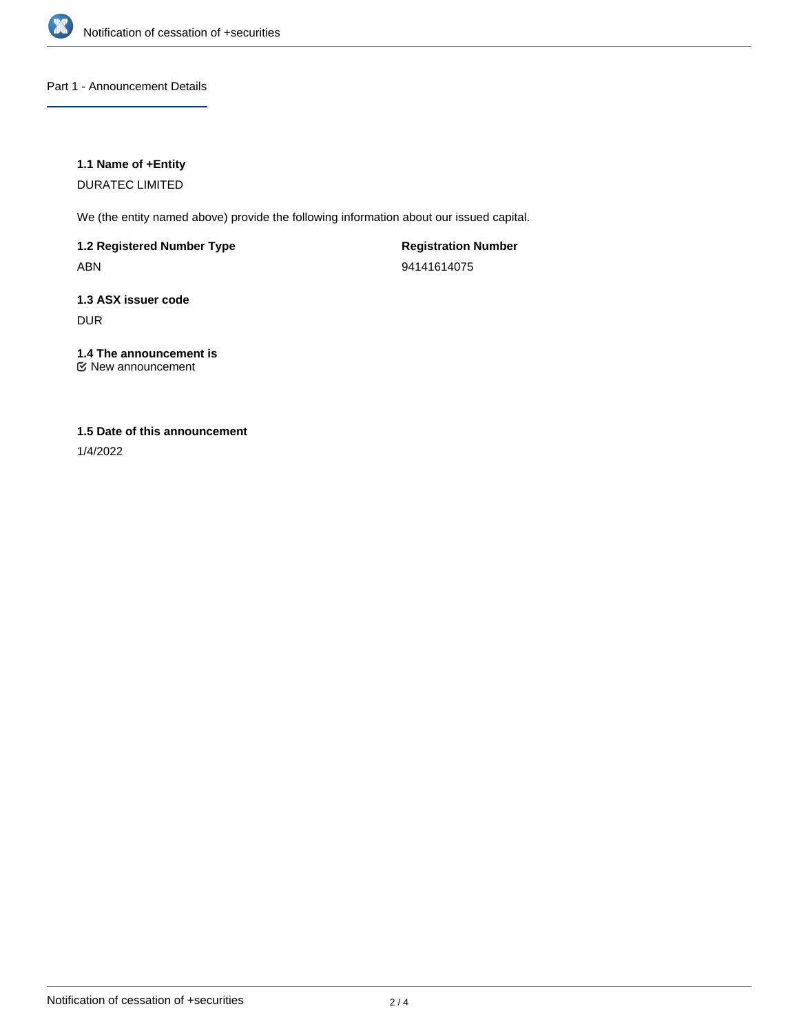

Part 1 - Announcement Details

## **1.1 Name of +Entity**

DURATEC LIMITED

We (the entity named above) provide the following information about our issued capital.

**1.2 Registered Number Type** ABN

**Registration Number** 94141614075

**1.3 ASX issuer code** DUR

#### **1.4 The announcement is** New announcement

# **1.5 Date of this announcement**

1/4/2022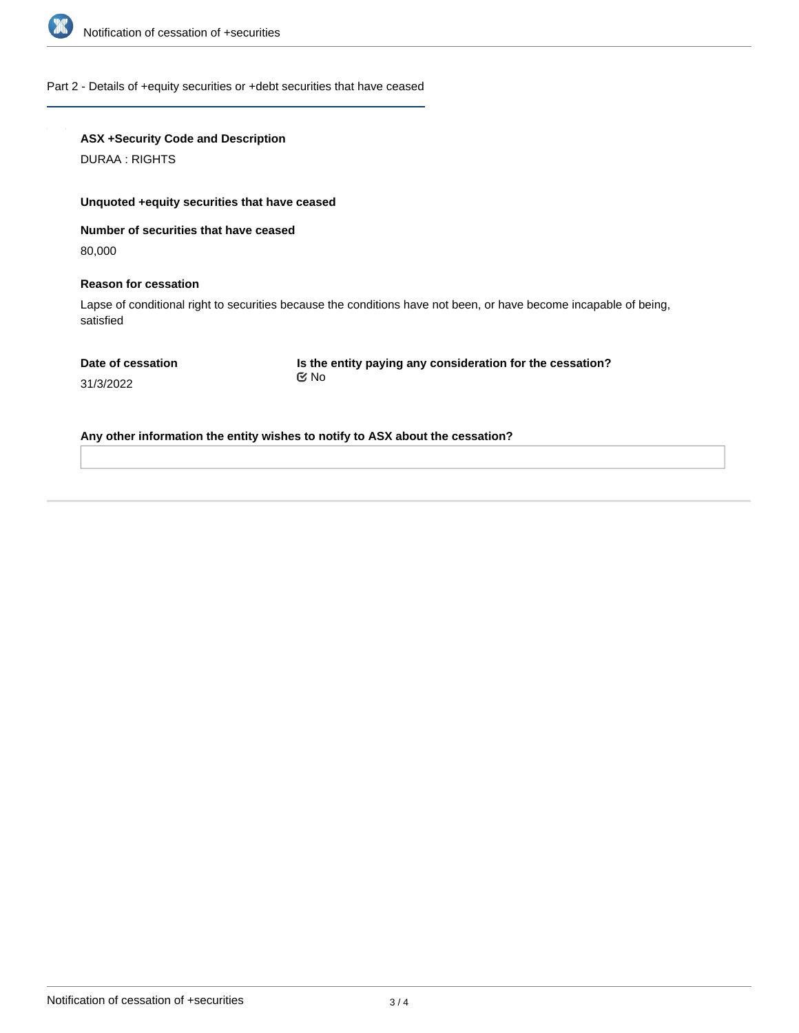

### Part 2 - Details of +equity securities or +debt securities that have ceased

## **ASX +Security Code and Description**

DURAA : RIGHTS

## **Unquoted +equity securities that have ceased**

**Number of securities that have ceased**

80,000

#### **Reason for cessation**

Lapse of conditional right to securities because the conditions have not been, or have become incapable of being, satisfied

**Is the entity paying any consideration for the cessation?** No

31/3/2022

**Any other information the entity wishes to notify to ASX about the cessation?**